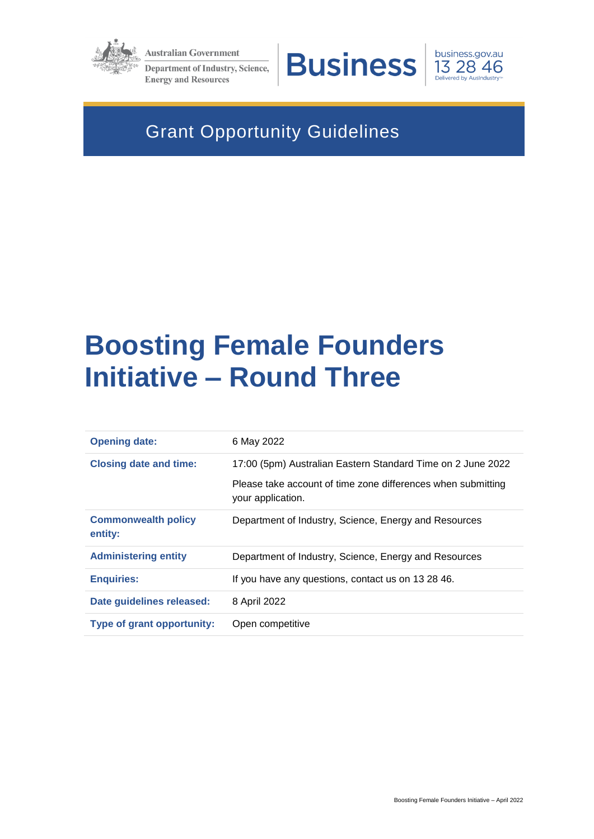

**Australian Government** Department of Industry, Science,

**Energy and Resources** 





# Grant Opportunity Guidelines

# **Boosting Female Founders Initiative – Round Three**

| <b>Opening date:</b>                  | 6 May 2022                                                                        |
|---------------------------------------|-----------------------------------------------------------------------------------|
| <b>Closing date and time:</b>         | 17:00 (5pm) Australian Eastern Standard Time on 2 June 2022                       |
|                                       | Please take account of time zone differences when submitting<br>your application. |
| <b>Commonwealth policy</b><br>entity: | Department of Industry, Science, Energy and Resources                             |
| <b>Administering entity</b>           | Department of Industry, Science, Energy and Resources                             |
| <b>Enquiries:</b>                     | If you have any questions, contact us on 13 28 46.                                |
| Date guidelines released:             | 8 April 2022                                                                      |
| <b>Type of grant opportunity:</b>     | Open competitive                                                                  |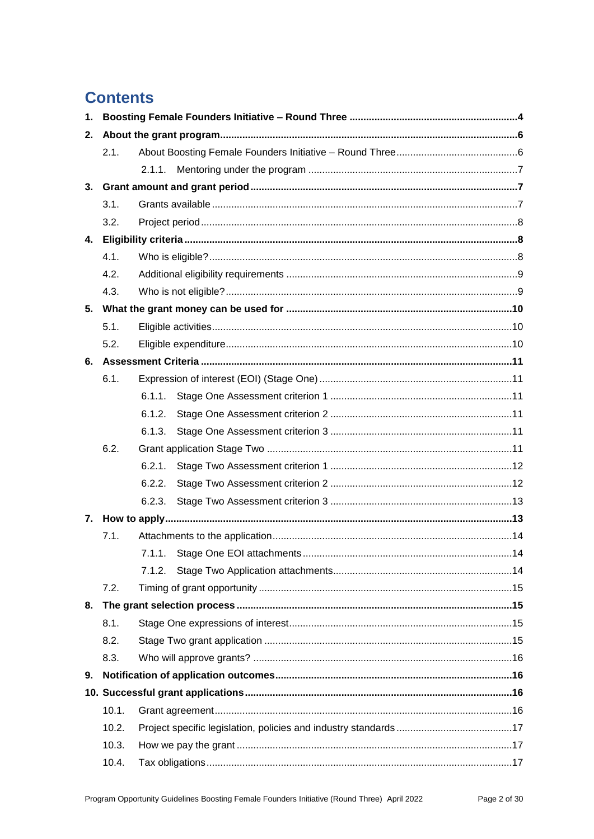# **Contents**

| 2. |       |        |  |
|----|-------|--------|--|
|    | 2.1.  |        |  |
|    |       | 2.1.1. |  |
| 3. |       |        |  |
|    | 3.1.  |        |  |
|    | 3.2.  |        |  |
|    |       |        |  |
|    | 4.1.  |        |  |
|    | 4.2.  |        |  |
|    | 4.3.  |        |  |
|    |       |        |  |
|    | 5.1.  |        |  |
|    | 5.2.  |        |  |
|    |       |        |  |
|    | 6.1.  |        |  |
|    |       |        |  |
|    |       | 6.1.2. |  |
|    |       | 6.1.3. |  |
|    | 6.2.  |        |  |
|    |       | 6.2.1. |  |
|    |       | 6.2.2. |  |
|    |       | 6.2.3. |  |
| 7. |       |        |  |
|    | 7.1.  |        |  |
|    |       |        |  |
|    |       |        |  |
|    | 7.2.  |        |  |
| 8. |       |        |  |
|    | 8.1.  |        |  |
|    | 8.2.  |        |  |
|    | 8.3.  |        |  |
| 9. |       |        |  |
|    |       |        |  |
|    | 10.1. |        |  |
|    | 10.2. |        |  |
|    | 10.3. |        |  |
|    | 10.4. |        |  |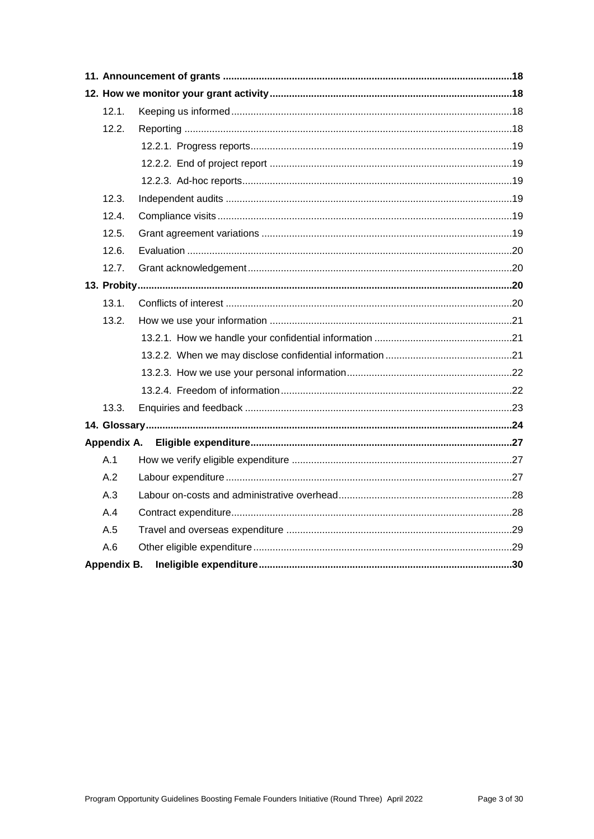| 12.1.       |  |  |
|-------------|--|--|
| 12.2.       |  |  |
|             |  |  |
|             |  |  |
|             |  |  |
| 12.3.       |  |  |
| 12.4.       |  |  |
| 12.5.       |  |  |
| 12.6.       |  |  |
| 12.7.       |  |  |
|             |  |  |
| 13.1.       |  |  |
| 13.2.       |  |  |
|             |  |  |
|             |  |  |
|             |  |  |
|             |  |  |
| 13.3.       |  |  |
|             |  |  |
| Appendix A. |  |  |
| A.1         |  |  |
| A.2         |  |  |
| A.3         |  |  |
| A.4         |  |  |
| A.5         |  |  |
| A.6         |  |  |
| Appendix B. |  |  |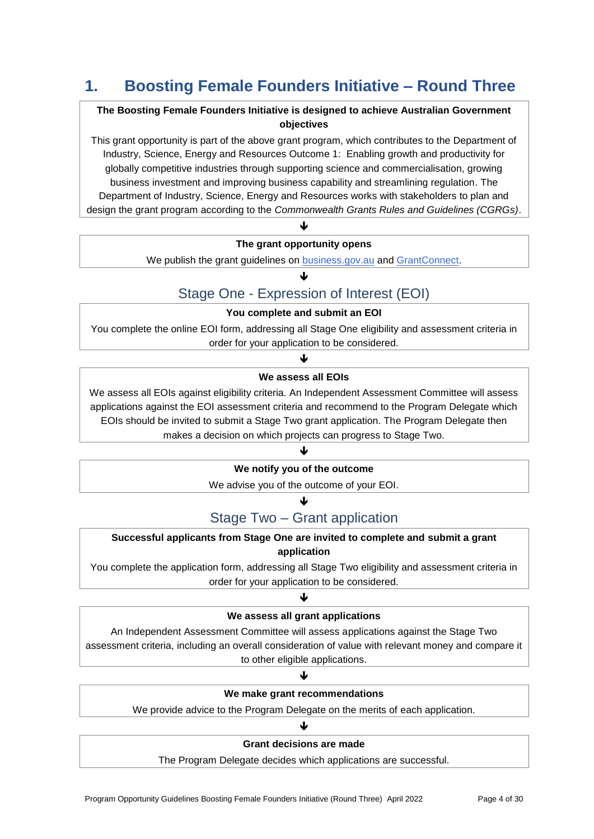# **1. Boosting Female Founders Initiative – Round Three**

# **The Boosting Female Founders Initiative is designed to achieve Australian Government objectives**

This grant opportunity is part of the above grant program, which contributes to the Department of Industry, Science, Energy and Resources Outcome 1: Enabling growth and productivity for globally competitive industries through supporting science and commercialisation, growing business investment and improving business capability and streamlining regulation. The Department of Industry, Science, Energy and Resources works with stakeholders to plan and design the grant program according to the *Commonwealth Grants Rules and Guidelines (CGRGs)*.

# J **The grant opportunity opens**

We publish the grant guidelines on [business.gov.au](http://www.business.gov.au/) an[d GrantConnect.](https://www.grants.gov.au/)

# J

# Stage One - Expression of Interest (EOI)

### **You complete and submit an EOI**

You complete the online EOI form, addressing all Stage One eligibility and assessment criteria in order for your application to be considered.

# J **We assess all EOIs**

We assess all EOIs against eligibility criteria. An Independent Assessment Committee will assess applications against the EOI assessment criteria and recommend to the Program Delegate which EOIs should be invited to submit a Stage Two grant application. The Program Delegate then makes a decision on which projects can progress to Stage Two.

# J **We notify you of the outcome**

We advise you of the outcome of your EOI.

# 业

# Stage Two – Grant application

#### **Successful applicants from Stage One are invited to complete and submit a grant application**

You complete the application form, addressing all Stage Two eligibility and assessment criteria in order for your application to be considered.

# J

#### **We assess all grant applications**

An Independent Assessment Committee will assess applications against the Stage Two assessment criteria, including an overall consideration of value with relevant money and compare it to other eligible applications.

# $\blacklozenge$

#### **We make grant recommendations**

We provide advice to the Program Delegate on the merits of each application.

# J **Grant decisions are made**

The Program Delegate decides which applications are successful.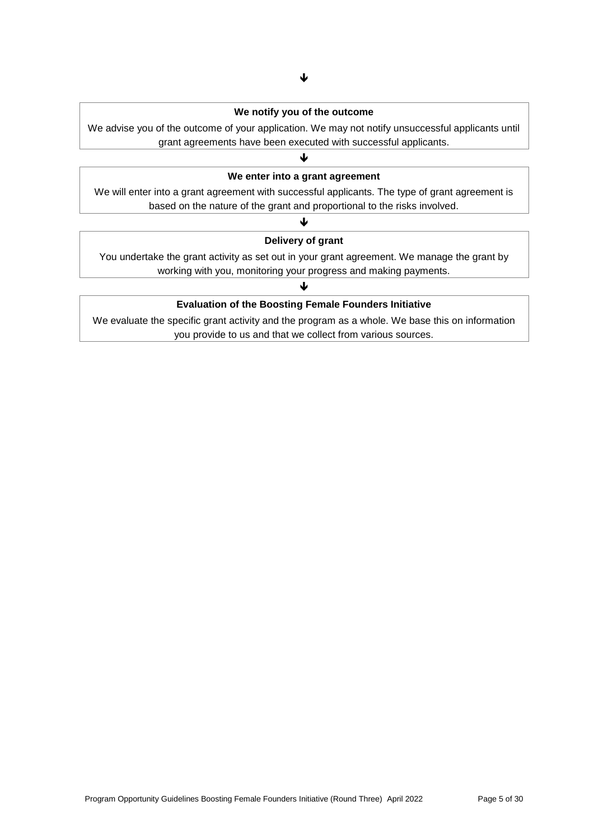#### **We notify you of the outcome**

We advise you of the outcome of your application. We may not notify unsuccessful applicants until grant agreements have been executed with successful applicants.

# $\blacklozenge$ **We enter into a grant agreement**

We will enter into a grant agreement with successful applicants. The type of grant agreement is based on the nature of the grant and proportional to the risks involved.

# $\blacklozenge$ **Delivery of grant**

You undertake the grant activity as set out in your grant agreement. We manage the grant by working with you, monitoring your progress and making payments.

#### ↓

#### **Evaluation of the Boosting Female Founders Initiative**

We evaluate the specific grant activity and the program as a whole. We base this on information you provide to us and that we collect from various sources.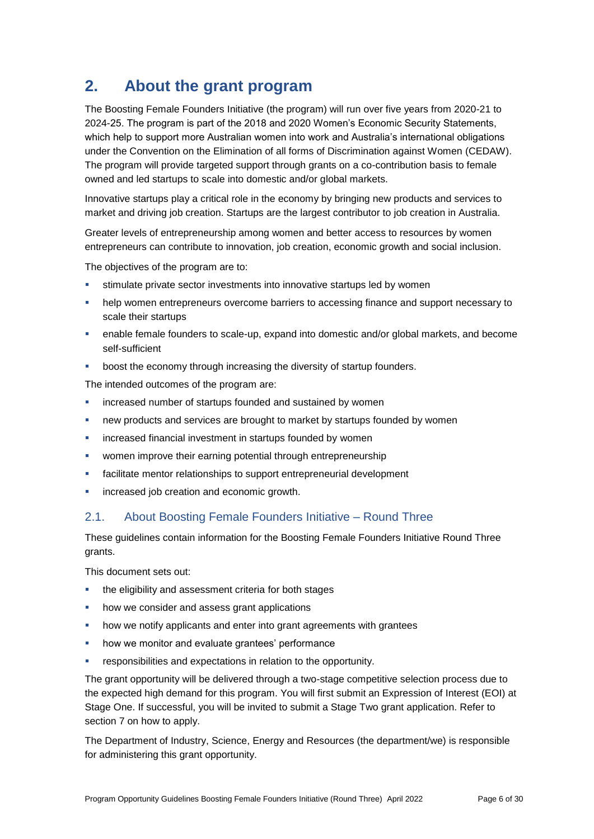# **2. About the grant program**

The Boosting Female Founders Initiative (the program) will run over five years from 2020-21 to 2024-25. The program is part of the 2018 and 2020 Women's Economic Security Statements, which help to support more Australian women into work and Australia's international obligations under the Convention on the Elimination of all forms of Discrimination against Women (CEDAW). The program will provide targeted support through grants on a co-contribution basis to female owned and led startups to scale into domestic and/or global markets.

Innovative startups play a critical role in the economy by bringing new products and services to market and driving job creation. Startups are the largest contributor to job creation in Australia.

Greater levels of entrepreneurship among women and better access to resources by women entrepreneurs can contribute to innovation, job creation, economic growth and social inclusion.

The objectives of the program are to:

- stimulate private sector investments into innovative startups led by women
- help women entrepreneurs overcome barriers to accessing finance and support necessary to scale their startups
- enable female founders to scale-up, expand into domestic and/or global markets, and become self-sufficient
- **•** boost the economy through increasing the diversity of startup founders.

The intended outcomes of the program are:

- **EXEDENT Increased number of startups founded and sustained by women**
- new products and services are brought to market by startups founded by women
- **EXEDENT** increased financial investment in startups founded by women
- women improve their earning potential through entrepreneurship
- **Facilitate mentor relationships to support entrepreneurial development**
- **increased job creation and economic growth.**

# 2.1. About Boosting Female Founders Initiative – Round Three

These guidelines contain information for the Boosting Female Founders Initiative Round Three grants.

This document sets out:

- the eligibility and assessment criteria for both stages
- how we consider and assess grant applications
- **•** how we notify applicants and enter into grant agreements with grantees
- how we monitor and evaluate grantees' performance
- responsibilities and expectations in relation to the opportunity.

The grant opportunity will be delivered through a two-stage competitive selection process due to the expected high demand for this program. You will first submit an Expression of Interest (EOI) at Stage One. If successful, you will be invited to submit a Stage Two grant application. Refer to section 7 on how to apply.

The Department of Industry, Science, Energy and Resources (the department/we) is responsible for administering this grant opportunity.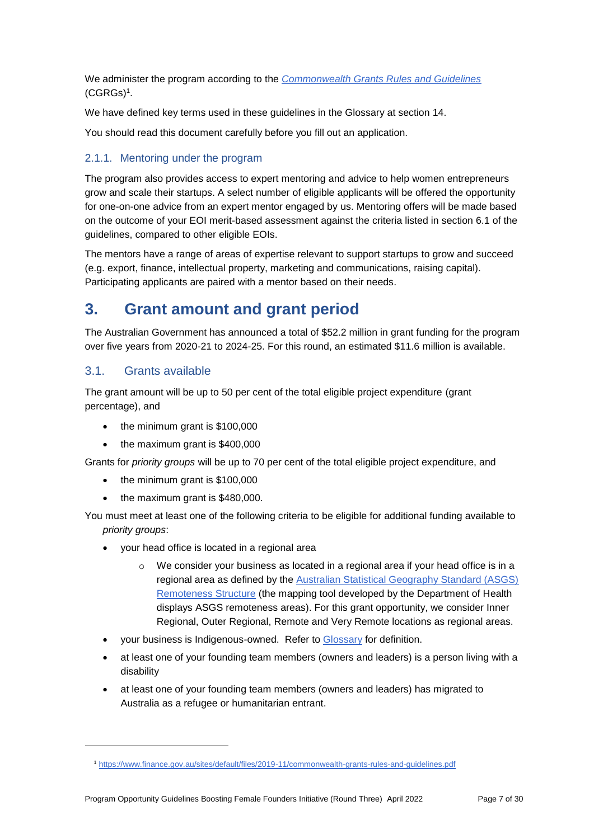We administer the program according to the *[Commonwealth Grants Rules and Guidelines](https://www.finance.gov.au/government/commonwealth-grants/commonwealth-grants-rules-guidelines)* [\(CGRGs\)](https://www.finance.gov.au/government/commonwealth-grants/commonwealth-grants-rules-guidelines)<sup>1</sup> .

We have defined key terms used in these guidelines in the Glossary at section 14.

You should read this document carefully before you fill out an application.

### 2.1.1. Mentoring under the program

The program also provides access to expert mentoring and advice to help women entrepreneurs grow and scale their startups. A select number of eligible applicants will be offered the opportunity for one-on-one advice from an expert mentor engaged by us. Mentoring offers will be made based on the outcome of your EOI merit-based assessment against the criteria listed in section 6.1 of the guidelines, compared to other eligible EOIs.

The mentors have a range of areas of expertise relevant to support startups to grow and succeed (e.g. export, finance, intellectual property, marketing and communications, raising capital). Participating applicants are paired with a mentor based on their needs.

# **3. Grant amount and grant period**

The Australian Government has announced a total of \$52.2 million in grant funding for the program over five years from 2020-21 to 2024-25. For this round, an estimated \$11.6 million is available.

### 3.1. Grants available

-

The grant amount will be up to 50 per cent of the total eligible project expenditure (grant percentage), and

- the minimum grant is \$100,000
- the maximum grant is \$400,000

Grants for *priority groups* will be up to 70 per cent of the total eligible project expenditure, and

- $\bullet$  the minimum grant is \$100,000
- the maximum grant is \$480,000.

You must meet at least one of the following criteria to be eligible for additional funding available to *priority groups*:

- your head office is located in a regional area
	- $\circ$  We consider your business as located in a regional area if your head office is in a regional area as defined by the [Australian Statistical Geography Standard \(ASGS\)](https://www.health.gov.au/resources/apps-and-tools/health-workforce-locator/health-workforce-locator)  [Remoteness Structure](https://www.health.gov.au/resources/apps-and-tools/health-workforce-locator/health-workforce-locator) (the mapping tool developed by the Department of Health displays ASGS remoteness areas). For this grant opportunity, we consider Inner Regional, Outer Regional, Remote and Very Remote locations as regional areas.
- your business is Indigenous-owned. Refer to [Glossary](#page-23-0) for definition.
- at least one of your founding team members (owners and leaders) is a person living with a disability
- at least one of your founding team members (owners and leaders) has migrated to Australia as a refugee or humanitarian entrant.

<sup>1</sup> https://www.finance.gov.au/sites/default/files/2019-11/commonwealth-grants-rules-and-guidelines.pdf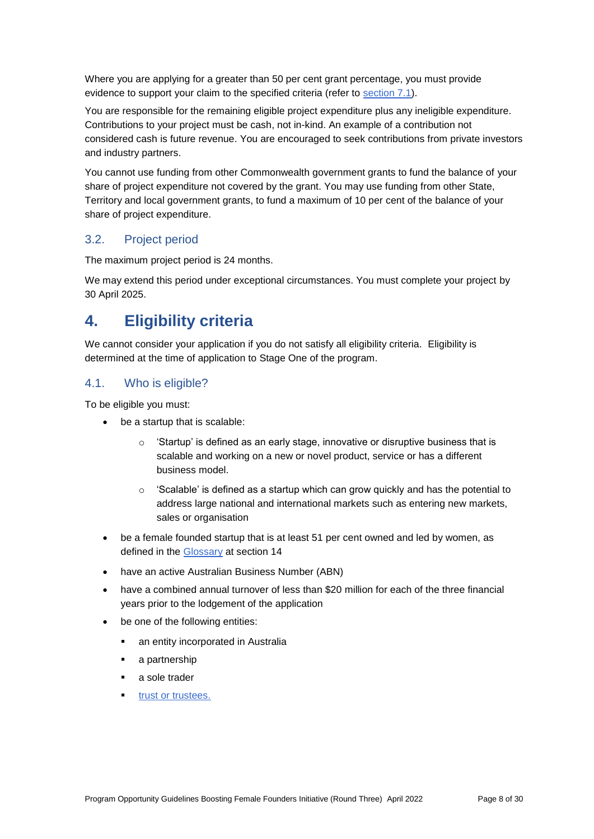Where you are applying for a greater than 50 per cent grant percentage, you must provide evidence to support your claim to the specified criteria (refer to section 7.1).

You are responsible for the remaining eligible project expenditure plus any ineligible expenditure. Contributions to your project must be cash, not in-kind. An example of a contribution not considered cash is future revenue. You are encouraged to seek contributions from private investors and industry partners.

You cannot use funding from other Commonwealth government grants to fund the balance of your share of project expenditure not covered by the grant. You may use funding from other State, Territory and local government grants, to fund a maximum of 10 per cent of the balance of your share of project expenditure.

# 3.2. Project period

The maximum project period is 24 months.

We may extend this period under exceptional circumstances. You must complete your project by 30 April 2025.

# **4. Eligibility criteria**

We cannot consider your application if you do not satisfy all eligibility criteria. Eligibility is determined at the time of application to Stage One of the program.

# <span id="page-7-0"></span>4.1. Who is eligible?

To be eligible you must:

- be a startup that is scalable:
	- $\circ$  'Startup' is defined as an early stage, innovative or disruptive business that is scalable and working on a new or novel product, service or has a different business model.
	- $\circ$  'Scalable' is defined as a startup which can grow quickly and has the potential to address large national and international markets such as entering new markets, sales or organisation
- be a female founded startup that is at least 51 per cent owned and led by women, as defined in the Glossary at section 14
- have an active Australian Business Number (ABN)
- have a combined annual turnover of less than \$20 million for each of the three financial years prior to the lodgement of the application
- be one of the following entities:
	- an entity incorporated in Australia
	- a partnership
	- a sole trader
	- **•** [trust or trustees.](#page-25-0)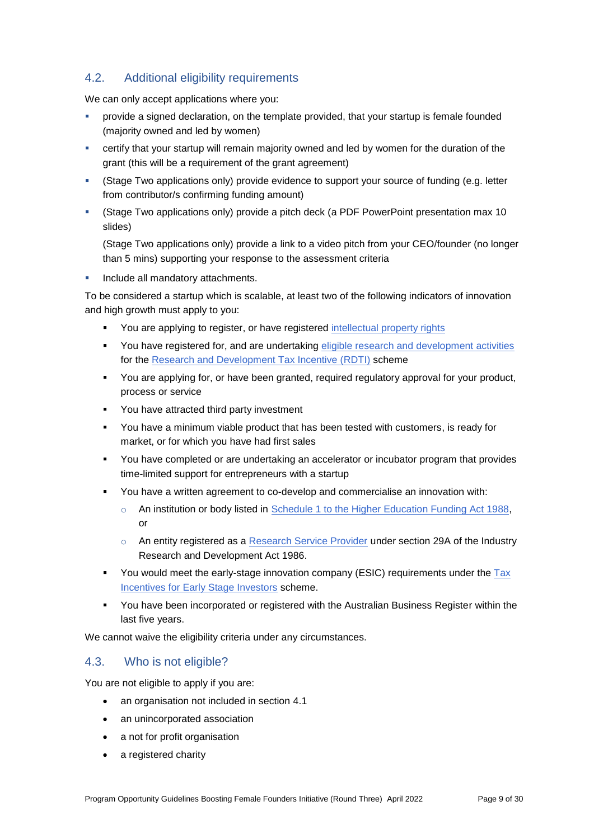# 4.2. Additional eligibility requirements

We can only accept applications where you:

- provide a signed declaration, on the template provided, that your startup is female founded (majority owned and led by women)
- certify that your startup will remain majority owned and led by women for the duration of the grant (this will be a requirement of the grant agreement)
- (Stage Two applications only) provide evidence to support your source of funding (e.g. letter from contributor/s confirming funding amount)
- (Stage Two applications only) provide a pitch deck (a PDF PowerPoint presentation max 10 slides)

(Stage Two applications only) provide a link to a video pitch from your CEO/founder (no longer than 5 mins) supporting your response to the assessment criteria

**Include all mandatory attachments.** 

To be considered a startup which is scalable, at least two of the following indicators of innovation and high growth must apply to you:

- You are applying to register, or have registered [intellectual property rights](https://business.gov.au/planning/protect-your-brand-idea-or-creation/intellectual-property#:~:text=The%20most%20common%20types%20of%20IP%20rights%20are%3A,circuits%20used%20in%20computer-generated%20designs%20More%20items...%20)
- You have registered for, and are undertaking [eligible research and development activities](https://business.gov.au/grants-and-programs/research-and-development-tax-incentive/assess-if-your-randd-activities-are-eligible) for the [Research and Development Tax Incentive \(RDTI\)](https://business.gov.au/Grants-and-Programs/Research-and-Development-Tax-Incentive) scheme
- You are applying for, or have been granted, required regulatory approval for your product, process or service
- You have attracted third party investment
- You have a minimum viable product that has been tested with customers, is ready for market, or for which you have had first sales
- You have completed or are undertaking an accelerator or incubator program that provides time-limited support for entrepreneurs with a startup
- You have a written agreement to co-develop and commercialise an innovation with:
	- o An institution or body listed in [Schedule 1 to the Higher Education Funding Act 1988,](https://www.legislation.gov.au/Latest/C2016C00171) or
	- o An entity registered as a [Research Service Provider](https://business.gov.au/grants-and-programs/research-and-development-tax-incentive/getting-help-from-a-research-service-provider) under section 29A of the Industry Research and Development Act 1986.
- You would meet the early-stage innovation company (ESIC) requirements under the  $\text{Tax}$ [Incentives for Early Stage Investors](https://www.ato.gov.au/Business/Tax-incentives-for-innovation/In-detail/Tax-incentives-for-early-stage-investors/?page=4#Earlystagetestrequirements) scheme.
- You have been incorporated or registered with the Australian Business Register within the last five years.

We cannot waive the eligibility criteria under any circumstances.

# 4.3. Who is not eligible?

You are not eligible to apply if you are:

- an organisation not included in section [4.1](#page-7-0)
- an unincorporated association
- a not for profit organisation
- a registered charity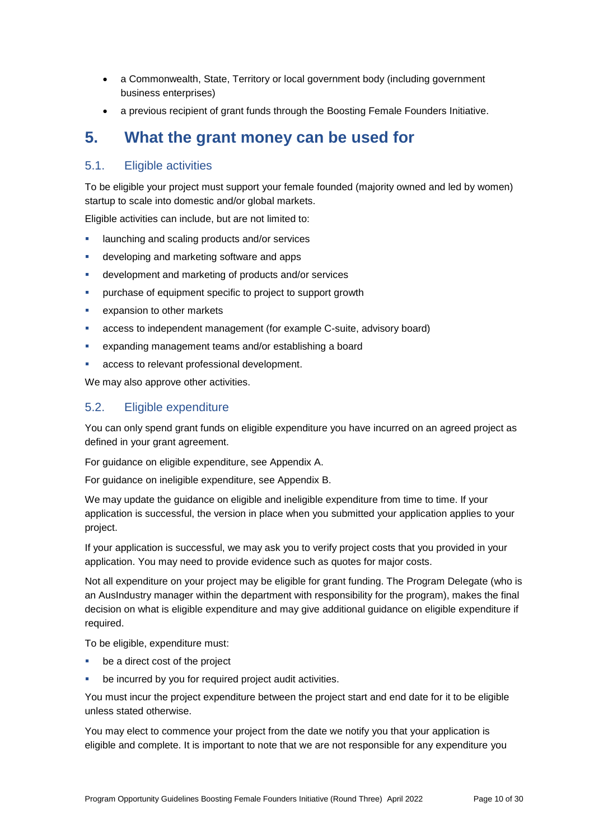- a Commonwealth, State, Territory or local government body (including government business enterprises)
- a previous recipient of grant funds through the Boosting Female Founders Initiative.

# **5. What the grant money can be used for**

# <span id="page-9-0"></span>5.1. Eligible activities

To be eligible your project must support your female founded (majority owned and led by women) startup to scale into domestic and/or global markets.

Eligible activities can include, but are not limited to:

- launching and scaling products and/or services
- **developing and marketing software and apps**
- development and marketing of products and/or services
- purchase of equipment specific to project to support growth
- expansion to other markets
- access to independent management (for example C-suite, advisory board)
- expanding management teams and/or establishing a board
- access to relevant professional development.

We may also approve other activities.

# 5.2. Eligible expenditure

You can only spend grant funds on eligible expenditure you have incurred on an agreed project as defined in your grant agreement.

For guidance on eligible expenditure, see Appendix A.

For guidance on ineligible expenditure, see Appendix B.

We may update the guidance on eligible and ineligible expenditure from time to time. If your application is successful, the version in place when you submitted your application applies to your project.

If your application is successful, we may ask you to verify project costs that you provided in your application. You may need to provide evidence such as quotes for major costs.

Not all expenditure on your project may be eligible for grant funding. The Program Delegate (who is an AusIndustry manager within the department with responsibility for the program), makes the final decision on what is eligible expenditure and may give additional guidance on eligible expenditure if required.

To be eligible, expenditure must:

- **be a direct cost of the project**
- be incurred by you for required project audit activities.

You must incur the project expenditure between the project start and end date for it to be eligible unless stated otherwise.

You may elect to commence your project from the date we notify you that your application is eligible and complete. It is important to note that we are not responsible for any expenditure you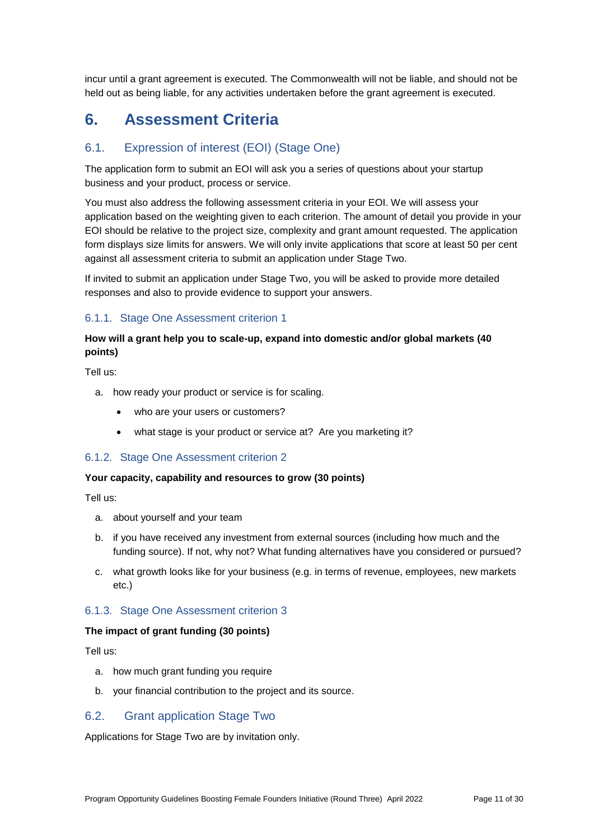incur until a grant agreement is executed. The Commonwealth will not be liable, and should not be held out as being liable, for any activities undertaken before the grant agreement is executed.

# **6. Assessment Criteria**

# 6.1. Expression of interest (EOI) (Stage One)

The application form to submit an EOI will ask you a series of questions about your startup business and your product, process or service.

You must also address the following assessment criteria in your EOI. We will assess your application based on the weighting given to each criterion. The amount of detail you provide in your EOI should be relative to the project size, complexity and grant amount requested. The application form displays size limits for answers. We will only invite applications that score at least 50 per cent against all assessment criteria to submit an application under Stage Two.

If invited to submit an application under Stage Two, you will be asked to provide more detailed responses and also to provide evidence to support your answers.

### 6.1.1. Stage One Assessment criterion 1

### **How will a grant help you to scale-up, expand into domestic and/or global markets (40 points)**

Tell us:

- a. how ready your product or service is for scaling.
	- who are your users or customers?
	- what stage is your product or service at? Are you marketing it?

#### 6.1.2. Stage One Assessment criterion 2

#### **Your capacity, capability and resources to grow (30 points)**

Tell us:

- a. about yourself and your team
- b. if you have received any investment from external sources (including how much and the funding source). If not, why not? What funding alternatives have you considered or pursued?
- c. what growth looks like for your business (e.g. in terms of revenue, employees, new markets etc.)

#### 6.1.3. Stage One Assessment criterion 3

#### **The impact of grant funding (30 points)**

Tell us:

- a. how much grant funding you require
- b. your financial contribution to the project and its source.

#### <span id="page-10-0"></span>6.2. Grant application Stage Two

Applications for Stage Two are by invitation only.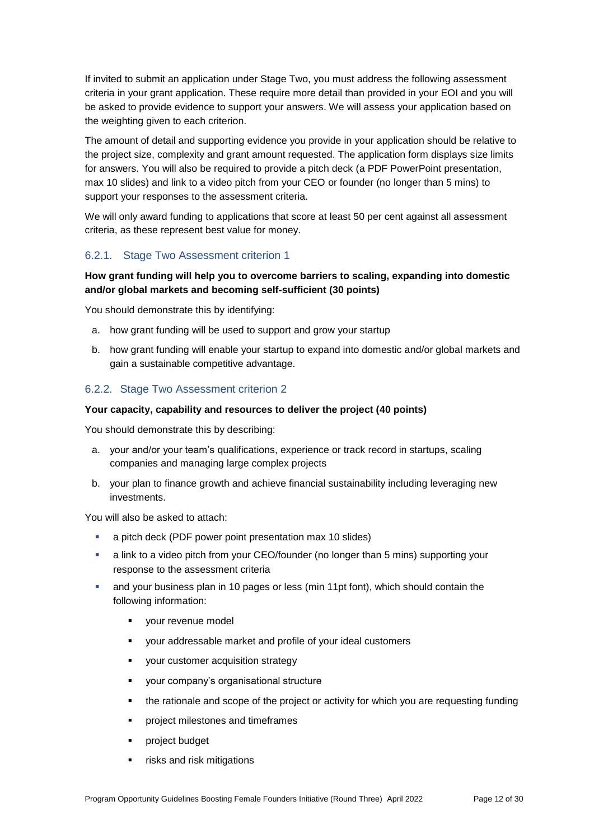If invited to submit an application under Stage Two, you must address the following assessment criteria in your grant application. These require more detail than provided in your EOI and you will be asked to provide evidence to support your answers. We will assess your application based on the weighting given to each criterion.

The amount of detail and supporting evidence you provide in your application should be relative to the project size, complexity and grant amount requested. The application form displays size limits for answers. You will also be required to provide a pitch deck (a PDF PowerPoint presentation, max 10 slides) and link to a video pitch from your CEO or founder (no longer than 5 mins) to support your responses to the assessment criteria.

We will only award funding to applications that score at least 50 per cent against all assessment criteria, as these represent best value for money.

### 6.2.1. Stage Two Assessment criterion 1

### **How grant funding will help you to overcome barriers to scaling, expanding into domestic and/or global markets and becoming self-sufficient (30 points)**

You should demonstrate this by identifying:

- a. how grant funding will be used to support and grow your startup
- b. how grant funding will enable your startup to expand into domestic and/or global markets and gain a sustainable competitive advantage.

#### 6.2.2. Stage Two Assessment criterion 2

#### **Your capacity, capability and resources to deliver the project (40 points)**

You should demonstrate this by describing:

- a. your and/or your team's qualifications, experience or track record in startups, scaling companies and managing large complex projects
- b. your plan to finance growth and achieve financial sustainability including leveraging new investments.

You will also be asked to attach:

- a pitch deck (PDF power point presentation max 10 slides)
- a link to a video pitch from your CEO/founder (no longer than 5 mins) supporting your response to the assessment criteria
- and your business plan in 10 pages or less (min 11pt font), which should contain the following information:
	- your revenue model
	- your addressable market and profile of your ideal customers
	- your customer acquisition strategy
	- your company's organisational structure
	- the rationale and scope of the project or activity for which you are requesting funding
	- project milestones and timeframes
	- **•** project budget
	- risks and risk mitigations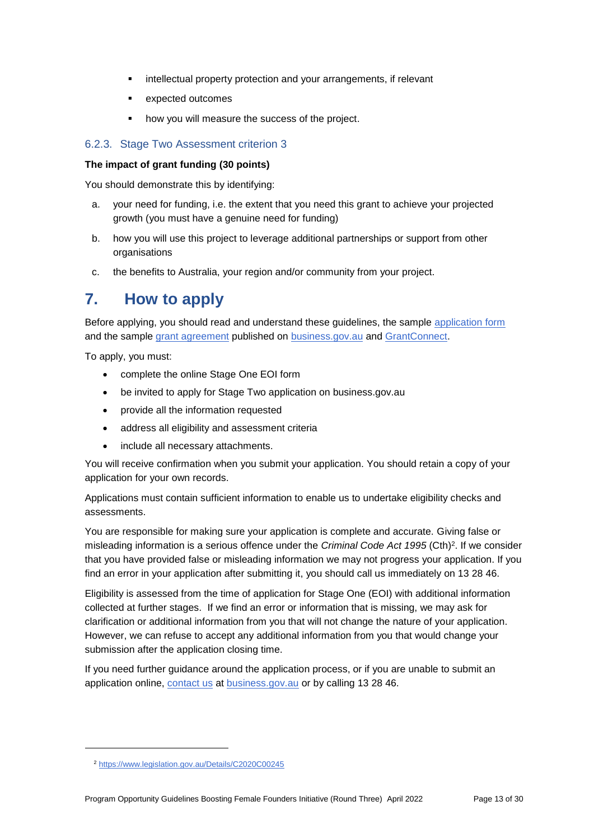- intellectual property protection and your arrangements, if relevant
- **EXPECTED OUTCOMES**
- how you will measure the success of the project.

# 6.2.3. Stage Two Assessment criterion 3

#### **The impact of grant funding (30 points)**

You should demonstrate this by identifying:

- a. your need for funding, i.e. the extent that you need this grant to achieve your projected growth (you must have a genuine need for funding)
- b. how you will use this project to leverage additional partnerships or support from other organisations
- c. the benefits to Australia, your region and/or community from your project.

# **7. How to apply**

Before applying, you should read and understand these guidelines, the sample [application form](https://business.gov.au/grants-and-programs/boosting-female-founders-initiative-round-3#key-documents) and the sample [grant agreement](https://business.gov.au/grants-and-programs/boosting-female-founders-initiative-round-3#key-documents) published on [business.gov.au](https://business.gov.au/BFF) and [GrantConnect.](https://www.grants.gov.au/)

To apply, you must:

- complete the online Stage One EOI form
- be invited to apply for Stage Two application on business.gov.au
- provide all the information requested
- address all eligibility and assessment criteria
- include all necessary attachments.

You will receive confirmation when you submit your application. You should retain a copy of your application for your own records.

Applications must contain sufficient information to enable us to undertake eligibility checks and assessments.

You are responsible for making sure your application is complete and accurate. Giving false or misleading information is a serious offence under the *Criminal Code Act 1995* (Cth)<sup>2</sup>. If we consider that you have provided false or misleading information we may not progress your application. If you find an error in your application after submitting it, you should call us immediately on 13 28 46.

Eligibility is assessed from the time of application for Stage One (EOI) with additional information collected at further stages. If we find an error or information that is missing, we may ask for clarification or additional information from you that will not change the nature of your application. However, we can refuse to accept any additional information from you that would change your submission after the application closing time.

If you need further guidance around the application process, or if you are unable to submit an application online, [contact us](https://www.business.gov.au/contact-us) at [business.gov.au](https://business.gov.au/BFF) or by calling 13 28 46.

1

<sup>2</sup> <https://www.legislation.gov.au/Details/C2020C00245>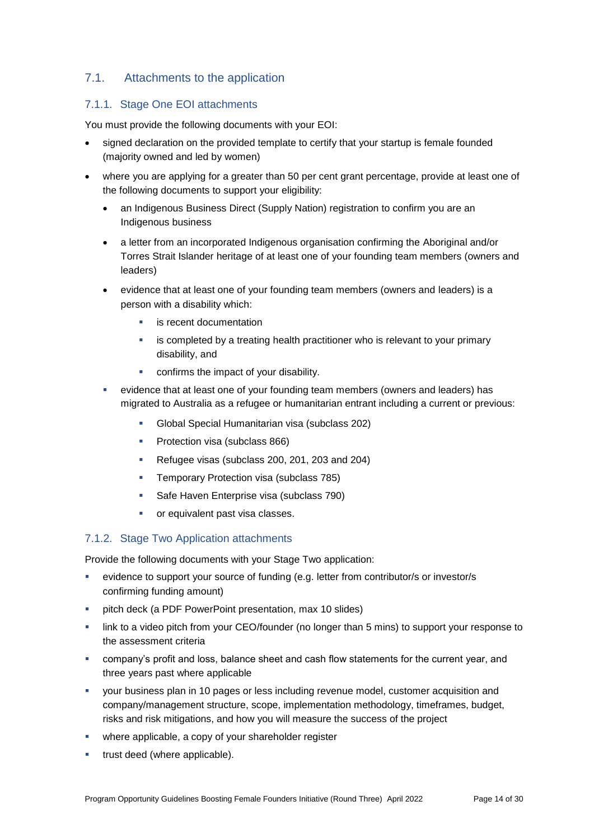# 7.1. Attachments to the application

## 7.1.1. Stage One EOI attachments

You must provide the following documents with your EOI:

- signed declaration on the provided template to certify that your startup is female founded (majority owned and led by women)
- where you are applying for a greater than 50 per cent grant percentage, provide at least one of the following documents to support your eligibility:
	- an Indigenous Business Direct (Supply Nation) registration to confirm you are an Indigenous business
	- a letter from an incorporated Indigenous organisation confirming the Aboriginal and/or Torres Strait Islander heritage of at least one of your founding team members (owners and leaders)
	- evidence that at least one of your founding team members (owners and leaders) is a person with a disability which:
		- is recent documentation
		- **EXED** is completed by a treating health practitioner who is relevant to your primary disability, and
		- confirms the impact of your disability.
	- evidence that at least one of your founding team members (owners and leaders) has migrated to Australia as a refugee or humanitarian entrant including a current or previous:
		- Global Special Humanitarian visa (subclass 202)
		- **Protection visa (subclass 866)**
		- Refugee visas (subclass 200, 201, 203 and 204)
		- **Temporary Protection visa (subclass 785)**
		- Safe Haven Enterprise visa (subclass 790)
		- or equivalent past visa classes.

#### 7.1.2. Stage Two Application attachments

Provide the following documents with your Stage Two application:

- evidence to support your source of funding (e.g. letter from contributor/s or investor/s confirming funding amount)
- **•** pitch deck (a PDF PowerPoint presentation, max 10 slides)
- link to a video pitch from your CEO/founder (no longer than 5 mins) to support your response to the assessment criteria
- company's profit and loss, balance sheet and cash flow statements for the current year, and three years past where applicable
- your business plan in 10 pages or less including revenue model, customer acquisition and company/management structure, scope, implementation methodology, timeframes, budget, risks and risk mitigations, and how you will measure the success of the project
- where applicable, a copy of your shareholder register
- trust deed (where applicable).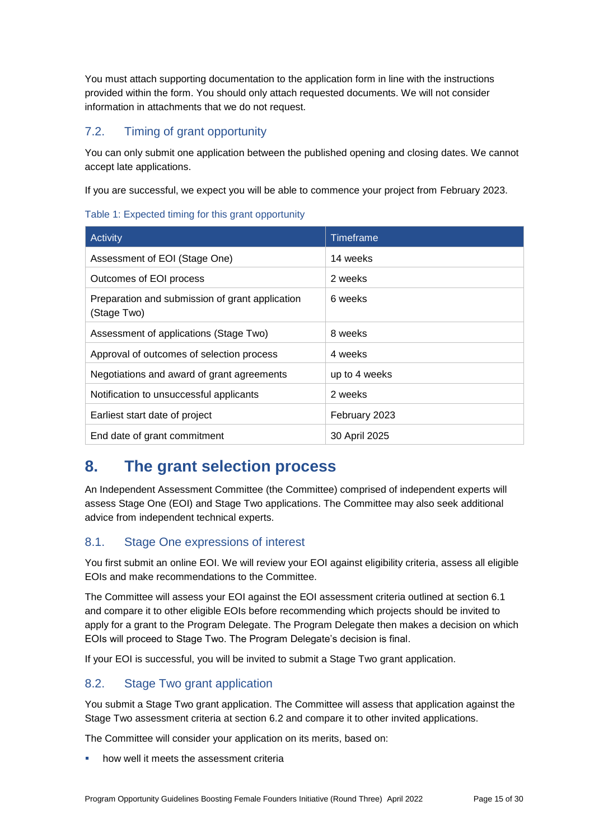You must attach supporting documentation to the application form in line with the instructions provided within the form. You should only attach requested documents. We will not consider information in attachments that we do not request.

# 7.2. Timing of grant opportunity

You can only submit one application between the published opening and closing dates. We cannot accept late applications.

If you are successful, we expect you will be able to commence your project from February 2023.

#### Table 1: Expected timing for this grant opportunity

| Activity                                                       | Timeframe     |
|----------------------------------------------------------------|---------------|
| Assessment of EOI (Stage One)                                  | 14 weeks      |
| Outcomes of EOI process                                        | 2 weeks       |
| Preparation and submission of grant application<br>(Stage Two) | 6 weeks       |
| Assessment of applications (Stage Two)                         | 8 weeks       |
| Approval of outcomes of selection process                      | 4 weeks       |
| Negotiations and award of grant agreements                     | up to 4 weeks |
| Notification to unsuccessful applicants                        | 2 weeks       |
| Earliest start date of project                                 | February 2023 |
| End date of grant commitment                                   | 30 April 2025 |

# **8. The grant selection process**

An Independent Assessment Committee (the Committee) comprised of independent experts will assess Stage One (EOI) and Stage Two applications. The Committee may also seek additional advice from independent technical experts.

# 8.1. Stage One expressions of interest

You first submit an online EOI. We will review your EOI against eligibility criteria, assess all eligible EOIs and make recommendations to the Committee.

The Committee will assess your EOI against the EOI assessment criteria outlined at section 6.1 and compare it to other eligible EOIs before recommending which projects should be invited to apply for a grant to the Program Delegate. The Program Delegate then makes a decision on which EOIs will proceed to Stage Two. The Program Delegate's decision is final.

If your EOI is successful, you will be invited to submit a Stage Two grant application.

# 8.2. Stage Two grant application

You submit a Stage Two grant application. The Committee will assess that application against the Stage Two assessment criteria at section [6.2](#page-10-0) and compare it to other invited applications.

The Committee will consider your application on its merits, based on:

how well it meets the assessment criteria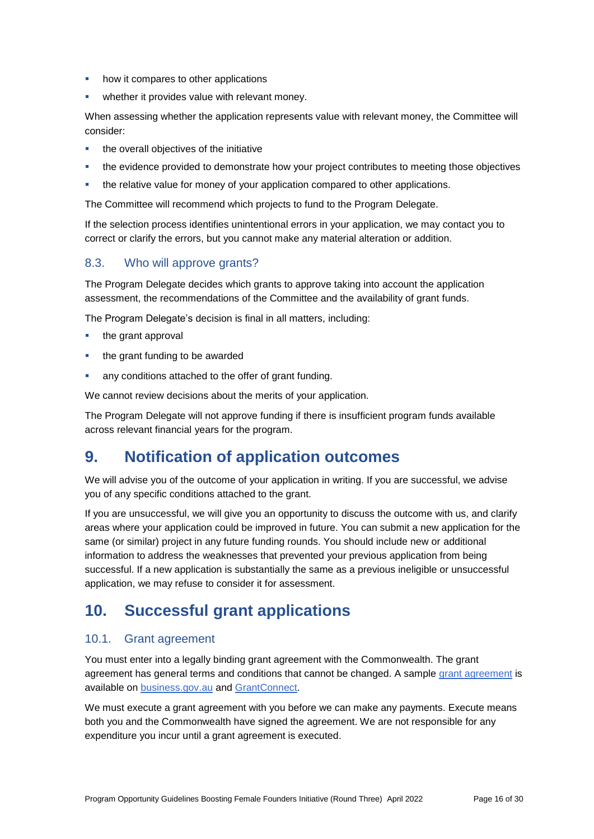- how it compares to other applications
- **•** whether it provides value with relevant money.

When assessing whether the application represents value with relevant money, the Committee will consider:

- the overall objectives of the initiative
- **the evidence provided to demonstrate how your project contributes to meeting those objectives**
- the relative value for money of your application compared to other applications.

The Committee will recommend which projects to fund to the Program Delegate.

If the selection process identifies unintentional errors in your application, we may contact you to correct or clarify the errors, but you cannot make any material alteration or addition.

# 8.3. Who will approve grants?

The Program Delegate decides which grants to approve taking into account the application assessment, the recommendations of the Committee and the availability of grant funds.

The Program Delegate's decision is final in all matters, including:

- the grant approval
- the grant funding to be awarded
- any conditions attached to the offer of grant funding.

We cannot review decisions about the merits of your application.

The Program Delegate will not approve funding if there is insufficient program funds available across relevant financial years for the program.

# **9. Notification of application outcomes**

We will advise you of the outcome of your application in writing. If you are successful, we advise you of any specific conditions attached to the grant.

If you are unsuccessful, we will give you an opportunity to discuss the outcome with us, and clarify areas where your application could be improved in future. You can submit a new application for the same (or similar) project in any future funding rounds. You should include new or additional information to address the weaknesses that prevented your previous application from being successful. If a new application is substantially the same as a previous ineligible or unsuccessful application, we may refuse to consider it for assessment.

# **10. Successful grant applications**

# 10.1. Grant agreement

You must enter into a legally binding grant agreement with the Commonwealth. The grant agreement has general terms and conditions that cannot be changed. A sample [grant agreement](https://business.gov.au/grants-and-programs/boosting-female-founders-initiative-round-3#key-documents) is available on [business.gov.au](https://business.gov.au/BFF) and [GrantConnect.](https://www.grants.gov.au/)

We must execute a grant agreement with you before we can make any payments. Execute means both you and the Commonwealth have signed the agreement. We are not responsible for any expenditure you incur until a grant agreement is executed.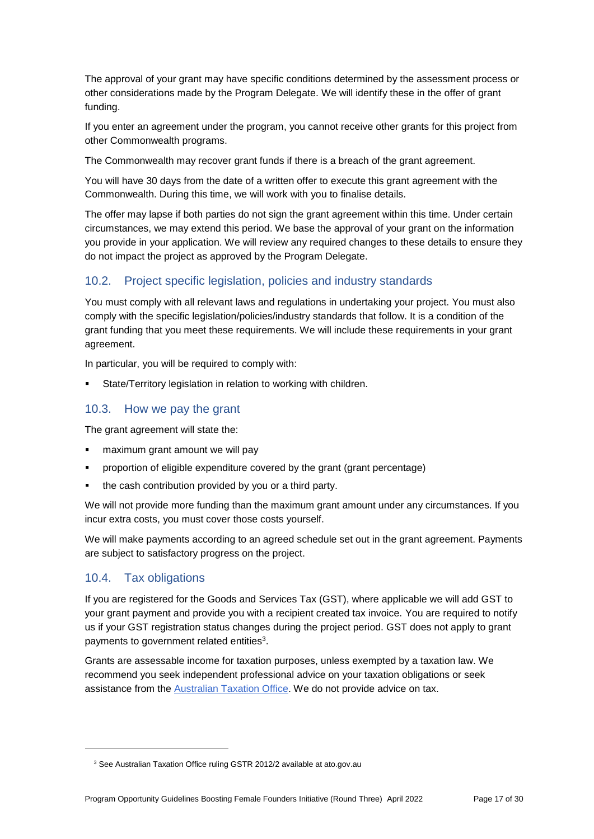The approval of your grant may have specific conditions determined by the assessment process or other considerations made by the Program Delegate. We will identify these in the offer of grant funding.

If you enter an agreement under the program, you cannot receive other grants for this project from other Commonwealth programs.

The Commonwealth may recover grant funds if there is a breach of the grant agreement.

You will have 30 days from the date of a written offer to execute this grant agreement with the Commonwealth. During this time, we will work with you to finalise details.

The offer may lapse if both parties do not sign the grant agreement within this time. Under certain circumstances, we may extend this period. We base the approval of your grant on the information you provide in your application. We will review any required changes to these details to ensure they do not impact the project as approved by the Program Delegate.

# 10.2. Project specific legislation, policies and industry standards

You must comply with all relevant laws and regulations in undertaking your project. You must also comply with the specific legislation/policies/industry standards that follow. It is a condition of the grant funding that you meet these requirements. We will include these requirements in your grant agreement.

In particular, you will be required to comply with:

State/Territory legislation in relation to working with children.

### 10.3. How we pay the grant

The grant agreement will state the:

- **F** maximum grant amount we will pay
- proportion of eligible expenditure covered by the grant (grant percentage)
- the cash contribution provided by you or a third party.

We will not provide more funding than the maximum grant amount under any circumstances. If you incur extra costs, you must cover those costs yourself.

We will make payments according to an agreed schedule set out in the grant agreement. Payments are subject to satisfactory progress on the project.

# 10.4. Tax obligations

1

If you are registered for the Goods and Services Tax (GST), where applicable we will add GST to your grant payment and provide you with a recipient created tax invoice. You are required to notify us if your GST registration status changes during the project period. GST does not apply to grant payments to government related entities<sup>3</sup>.

Grants are assessable income for taxation purposes, unless exempted by a taxation law. We recommend you seek independent professional advice on your taxation obligations or seek assistance from the [Australian Taxation Office.](https://www.ato.gov.au/) We do not provide advice on tax.

<sup>&</sup>lt;sup>3</sup> See Australian Taxation Office ruling GSTR 2012/2 available at ato.gov.au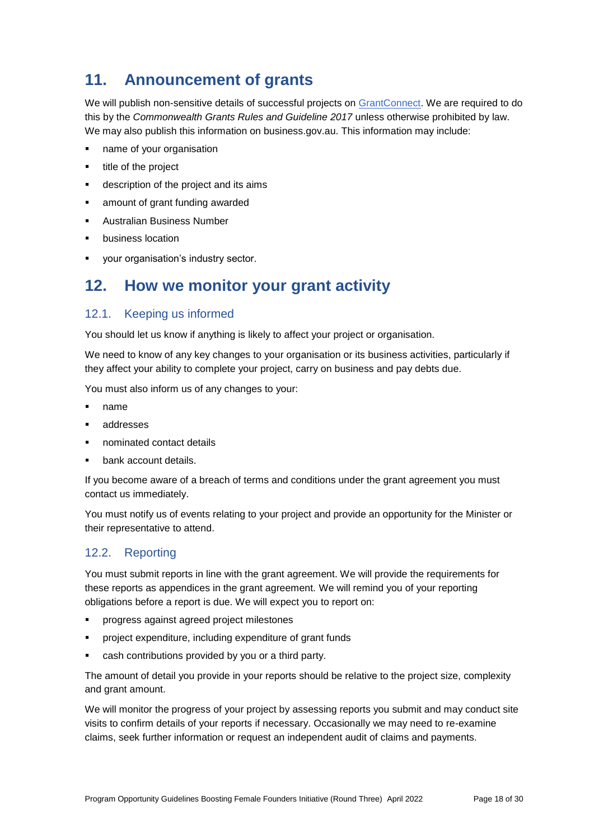# **11. Announcement of grants**

We will publish non-sensitive details of successful projects on [GrantConnect.](https://www.grants.gov.au/) We are required to do this by the *Commonwealth Grants Rules and Guideline 2017* unless otherwise prohibited by law. We may also publish this information on business.gov.au. This information may include:

- name of your organisation
- title of the project
- description of the project and its aims
- amount of grant funding awarded
- Australian Business Number
- business location
- your organisation's industry sector.

# **12. How we monitor your grant activity**

# 12.1. Keeping us informed

You should let us know if anything is likely to affect your project or organisation.

We need to know of any key changes to your organisation or its business activities, particularly if they affect your ability to complete your project, carry on business and pay debts due.

You must also inform us of any changes to your:

- name
- addresses
- nominated contact details
- bank account details.

If you become aware of a breach of terms and conditions under the grant agreement you must contact us immediately.

You must notify us of events relating to your project and provide an opportunity for the Minister or their representative to attend.

# 12.2. Reporting

You must submit reports in line with the [grant agreement.](file://///prod.protected.ind/User/user03/LLau2/insert%20link%20here) We will provide the requirements for these reports as appendices in the grant agreement. We will remind you of your reporting obligations before a report is due. We will expect you to report on:

- progress against agreed project milestones
- project expenditure, including expenditure of grant funds
- cash contributions provided by you or a third party.

The amount of detail you provide in your reports should be relative to the project size, complexity and grant amount.

We will monitor the progress of your project by assessing reports you submit and may conduct site visits to confirm details of your reports if necessary. Occasionally we may need to re-examine claims, seek further information or request an independent audit of claims and payments.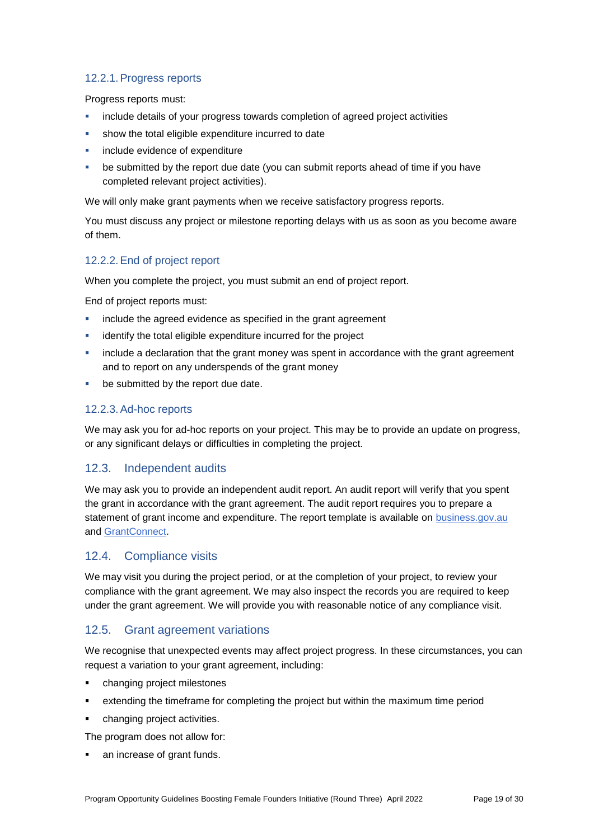## 12.2.1.Progress reports

Progress reports must:

- include details of your progress towards completion of agreed project activities
- show the total eligible expenditure incurred to date
- include evidence of expenditure
- be submitted by the report due date (you can submit reports ahead of time if you have completed relevant project activities).

We will only make grant payments when we receive satisfactory progress reports.

You must discuss any project or milestone reporting delays with us as soon as you become aware of them.

### 12.2.2.End of project report

When you complete the project, you must submit an end of project report.

End of project reports must:

- include the agreed evidence as specified in the grant agreement
- identify the total eligible expenditure incurred for the project
- include a declaration that the grant money was spent in accordance with the grant agreement and to report on any underspends of the grant money
- be submitted by the report due date.

# 12.2.3.Ad-hoc reports

We may ask you for ad-hoc reports on your project. This may be to provide an update on progress, or any significant delays or difficulties in completing the project.

# 12.3. Independent audits

We may ask you to provide an independent audit report. An audit report will verify that you spent the grant in accordance with the grant agreement. The audit report requires you to prepare a statement of grant income and expenditure. The report template is available on [business.gov.au](https://business.gov.au/) and [GrantConnect.](http://www.grants.gov.au/)

#### 12.4. Compliance visits

We may visit you during the project period, or at the completion of your project, to review your compliance with the grant agreement. We may also inspect the records you are required to keep under the grant agreement. We will provide you with reasonable notice of any compliance visit.

# 12.5. Grant agreement variations

We recognise that unexpected events may affect project progress. In these circumstances, you can request a variation to your grant agreement, including:

- changing project milestones
- extending the timeframe for completing the project but within the maximum time period
- changing project activities.

The program does not allow for:

an increase of grant funds.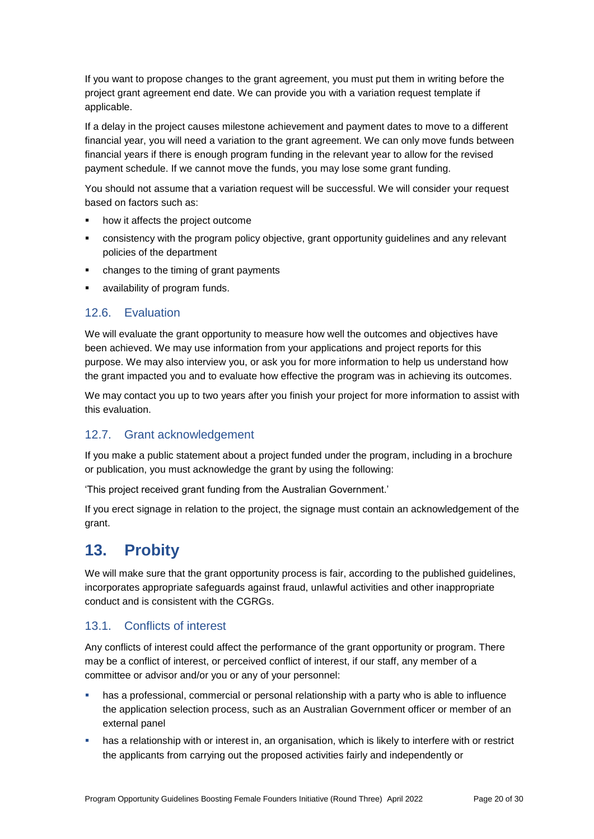If you want to propose changes to the grant agreement, you must put them in writing before the project grant agreement end date. We can provide you with a variation request template if applicable.

If a delay in the project causes milestone achievement and payment dates to move to a different financial year, you will need a variation to the grant agreement. We can only move funds between financial years if there is enough program funding in the relevant year to allow for the revised payment schedule. If we cannot move the funds, you may lose some grant funding.

You should not assume that a variation request will be successful. We will consider your request based on factors such as:

- how it affects the project outcome
- consistency with the program policy objective, grant opportunity guidelines and any relevant policies of the department
- changes to the timing of grant payments
- availability of program funds.

# 12.6. Evaluation

We will evaluate the grant opportunity to measure how well the outcomes and objectives have been achieved. We may use information from your applications and project reports for this purpose. We may also interview you, or ask you for more information to help us understand how the grant impacted you and to evaluate how effective the program was in achieving its outcomes.

We may contact you up to two years after you finish your project for more information to assist with this evaluation.

# 12.7. Grant acknowledgement

If you make a public statement about a project funded under the program, including in a brochure or publication, you must acknowledge the grant by using the following:

'This project received grant funding from the Australian Government.'

If you erect signage in relation to the project, the signage must contain an acknowledgement of the grant.

# **13. Probity**

We will make sure that the grant opportunity process is fair, according to the published guidelines, incorporates appropriate safeguards against fraud, unlawful activities and other inappropriate conduct and is consistent with the CGRGs.

# 13.1. Conflicts of interest

Any conflicts of interest could affect the performance of the grant opportunity or program. There may be a [conflict of interest,](http://www.apsc.gov.au/publications-and-media/current-publications/aps-values-and-code-of-conduct-in-practice/conflict-of-interest) or perceived conflict of interest, if our staff, any member of a committee or advisor and/or you or any of your personnel:

- has a professional, commercial or personal relationship with a party who is able to influence the application selection process, such as an Australian Government officer or member of an external panel
- has a relationship with or interest in, an organisation, which is likely to interfere with or restrict the applicants from carrying out the proposed activities fairly and independently or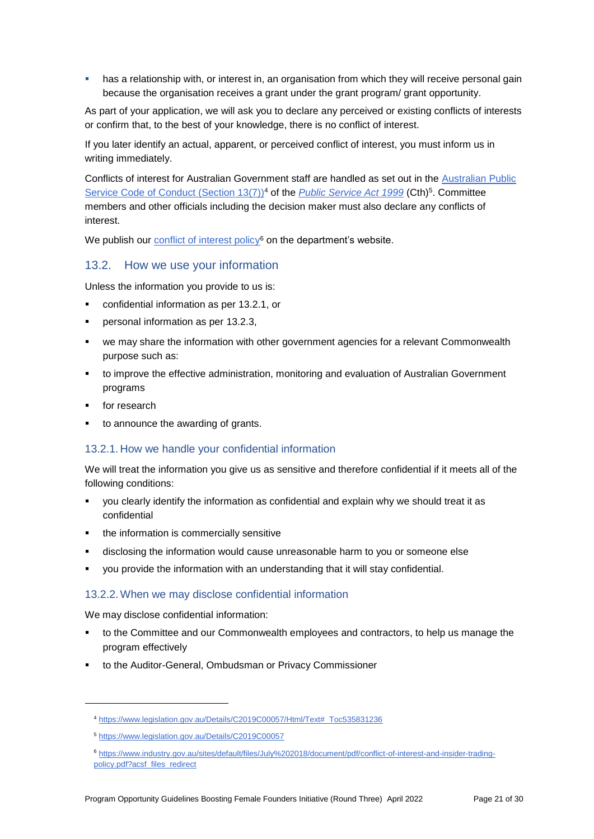has a relationship with, or interest in, an organisation from which they will receive personal gain because the organisation receives a grant under the grant program/ grant opportunity.

As part of your application, we will ask you to declare any perceived or existing conflicts of interests or confirm that, to the best of your knowledge, there is no conflict of interest.

If you later identify an actual, apparent, or perceived conflict of interest, you must inform us in writing immediately.

Conflicts of interest for Australian Government staff are handled as set out in the [Australian Public](https://www.legislation.gov.au/Details/C2019C00057/Html/Text#_Toc535831236)  [Service Code of Conduct \(Section 13\(7\)\)](https://www.legislation.gov.au/Details/C2019C00057/Html/Text#_Toc535831236)<sup>4</sup> of the *[Public Service Act 1999](https://www.legislation.gov.au/Details/C2019C00057)* (Cth)<sup>5</sup>. Committee members and other officials including the decision maker must also declare any conflicts of interest.

We publish our [conflict of interest policy](https://www.industry.gov.au/sites/g/files/net3906/f/July%202018/document/pdf/conflict-of-interest-and-insider-trading-policy.pdf)<sup>6</sup> on the department's website.

#### 13.2. How we use your information

Unless the information you provide to us is:

- confidential information as per [13.2.1,](#page-20-0) or
- personal information as per [13.2.3,](#page-21-0)
- we may share the information with other government agencies for a relevant Commonwealth purpose such as:
- to improve the effective administration, monitoring and evaluation of Australian Government programs
- for research

1

to announce the awarding of grants.

#### <span id="page-20-0"></span>13.2.1. How we handle your confidential information

We will treat the information you give us as sensitive and therefore confidential if it meets all of the following conditions:

- you clearly identify the information as confidential and explain why we should treat it as confidential
- the information is commercially sensitive
- disclosing the information would cause unreasonable harm to you or someone else
- you provide the information with an understanding that it will stay confidential.

#### 13.2.2.When we may disclose confidential information

We may disclose confidential information:

- to the Committee and our Commonwealth employees and contractors, to help us manage the program effectively
- to the Auditor-General, Ombudsman or Privacy Commissioner

<sup>4</sup> [https://www.legislation.gov.au/Details/C2019C00057/Html/Text#\\_Toc535831236](https://www.legislation.gov.au/Details/C2019C00057/Html/Text#_Toc535831236)

<sup>5</sup> <https://www.legislation.gov.au/Details/C2019C00057>

<sup>6</sup> [https://www.industry.gov.au/sites/default/files/July%202018/document/pdf/conflict-of-interest-and-insider-trading](https://www.industry.gov.au/sites/default/files/July%202018/document/pdf/conflict-of-interest-and-insider-trading-policy.pdf?acsf_files_redirect)[policy.pdf?acsf\\_files\\_redirect](https://www.industry.gov.au/sites/default/files/July%202018/document/pdf/conflict-of-interest-and-insider-trading-policy.pdf?acsf_files_redirect)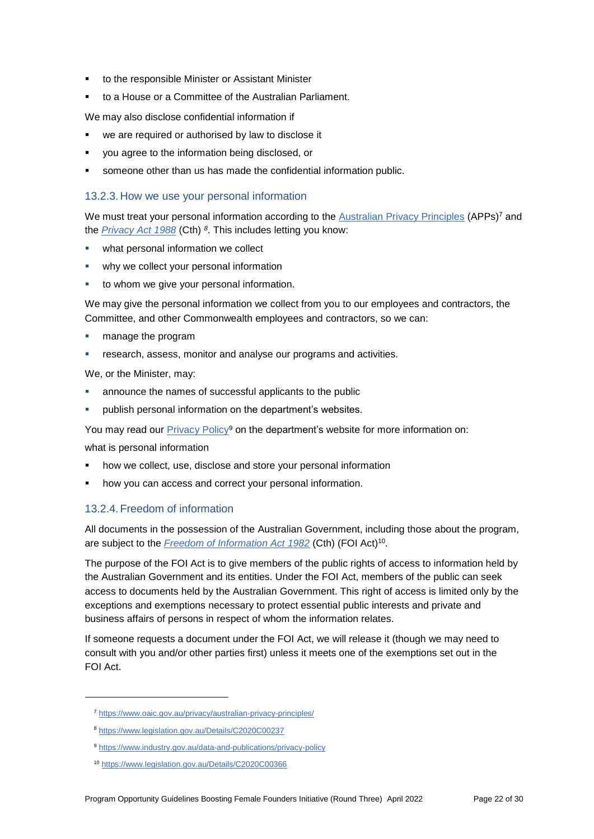- to the responsible Minister or Assistant Minister
- to a House or a Committee of the Australian Parliament.

We may also disclose confidential information if

- we are required or authorised by law to disclose it
- you agree to the information being disclosed, or
- someone other than us has made the confidential information public.

### <span id="page-21-0"></span>13.2.3. How we use your personal information

We must treat your personal information according to the [Australian Privacy Principles](https://www.oaic.gov.au/privacy/australian-privacy-principles/) (APPs)<sup>7</sup> and the *[Privacy Act 1988](https://www.legislation.gov.au/Details/C2020C00237)* (Cth) *8* . This includes letting you know:

- **•** what personal information we collect
- why we collect your personal information
- to whom we give your personal information.

We may give the personal information we collect from you to our employees and contractors, the Committee, and other Commonwealth employees and contractors, so we can:

- **n** manage the program
- research, assess, monitor and analyse our programs and activities.

We, or the Minister, may:

- announce the names of successful applicants to the public
- publish personal information on the department's websites.

You may read our [Privacy Policy](https://www.industry.gov.au/data-and-publications/privacy-policy)<sup>9</sup> on the department's website for more information on:

what is personal information

- how we collect, use, disclose and store your personal information
- how you can access and correct your personal information.

#### 13.2.4. Freedom of information

All documents in the possession of the Australian Government, including those about the program, are subject to the *[Freedom of Information Act 1982](https://www.legislation.gov.au/Details/C2020C00366)* (Cth) (FOI Act)<sup>10</sup> *.*

The purpose of the FOI Act is to give members of the public rights of access to information held by the Australian Government and its entities. Under the FOI Act, members of the public can seek access to documents held by the Australian Government. This right of access is limited only by the exceptions and exemptions necessary to protect essential public interests and private and business affairs of persons in respect of whom the information relates.

If someone requests a document under the FOI Act, we will release it (though we may need to consult with you and/or other parties first) unless it meets one of the exemptions set out in the FOI Act.

1

<sup>7</sup> <https://www.oaic.gov.au/privacy/australian-privacy-principles/>

<sup>8</sup> <https://www.legislation.gov.au/Details/C2020C00237>

<sup>9</sup> <https://www.industry.gov.au/data-and-publications/privacy-policy>

<sup>10</sup> <https://www.legislation.gov.au/Details/C2020C00366>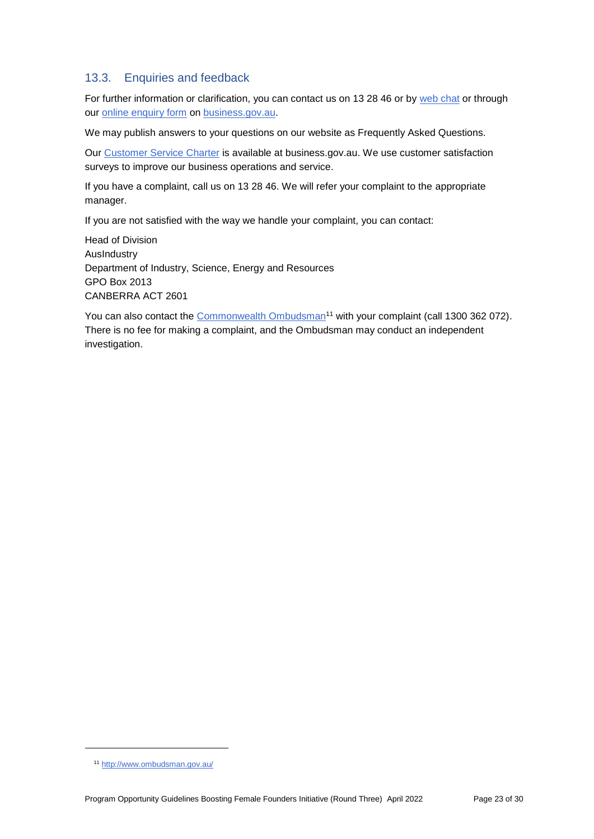# 13.3. Enquiries and feedback

For further information or clarification, you can contact us on 13 28 46 or by [web chat](https://www.business.gov.au/contact-us) or through our **online enquiry form** on **business.gov.au**.

We may publish answers to your questions on our website as Frequently Asked Questions.

Our [Customer Service](https://www.business.gov.au/about/customer-service-charter) Charter is available at [business.gov.au.](http://www.business.gov.au/) We use customer satisfaction surveys to improve our business operations and service.

If you have a complaint, call us on 13 28 46. We will refer your complaint to the appropriate manager.

If you are not satisfied with the way we handle your complaint, you can contact:

Head of Division AusIndustry Department of Industry, Science, Energy and Resources GPO Box 2013 CANBERRA ACT 2601

You can also contact the [Commonwealth Ombudsman](http://www.ombudsman.gov.au/)<sup>11</sup> with your complaint (call 1300 362 072). There is no fee for making a complaint, and the Ombudsman may conduct an independent investigation.

1

<sup>11</sup> <http://www.ombudsman.gov.au/>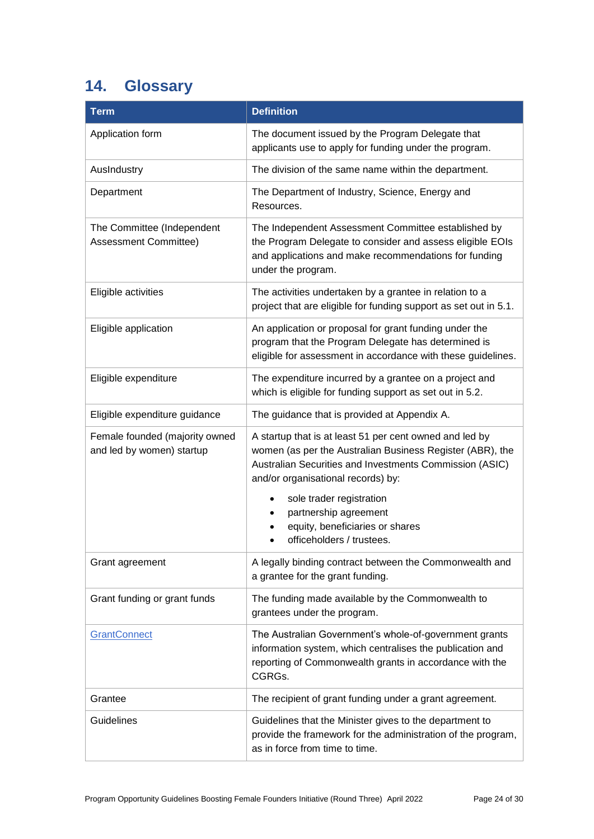# <span id="page-23-0"></span>**14. Glossary**

| <b>Term</b>                                                 | <b>Definition</b>                                                                                                                                                                                                     |
|-------------------------------------------------------------|-----------------------------------------------------------------------------------------------------------------------------------------------------------------------------------------------------------------------|
| Application form                                            | The document issued by the Program Delegate that<br>applicants use to apply for funding under the program.                                                                                                            |
| AusIndustry                                                 | The division of the same name within the department.                                                                                                                                                                  |
| Department                                                  | The Department of Industry, Science, Energy and<br>Resources.                                                                                                                                                         |
| The Committee (Independent<br>Assessment Committee)         | The Independent Assessment Committee established by<br>the Program Delegate to consider and assess eligible EOIs<br>and applications and make recommendations for funding<br>under the program.                       |
| Eligible activities                                         | The activities undertaken by a grantee in relation to a<br>project that are eligible for funding support as set out in 5.1.                                                                                           |
| Eligible application                                        | An application or proposal for grant funding under the<br>program that the Program Delegate has determined is<br>eligible for assessment in accordance with these guidelines.                                         |
| Eligible expenditure                                        | The expenditure incurred by a grantee on a project and<br>which is eligible for funding support as set out in 5.2.                                                                                                    |
| Eligible expenditure guidance                               | The guidance that is provided at Appendix A.                                                                                                                                                                          |
| Female founded (majority owned<br>and led by women) startup | A startup that is at least 51 per cent owned and led by<br>women (as per the Australian Business Register (ABR), the<br>Australian Securities and Investments Commission (ASIC)<br>and/or organisational records) by: |
|                                                             | sole trader registration<br>$\bullet$                                                                                                                                                                                 |
|                                                             | partnership agreement<br>equity, beneficiaries or shares                                                                                                                                                              |
|                                                             | officeholders / trustees.                                                                                                                                                                                             |
| Grant agreement                                             | A legally binding contract between the Commonwealth and<br>a grantee for the grant funding.                                                                                                                           |
| Grant funding or grant funds                                | The funding made available by the Commonwealth to<br>grantees under the program.                                                                                                                                      |
| GrantConnect                                                | The Australian Government's whole-of-government grants<br>information system, which centralises the publication and<br>reporting of Commonwealth grants in accordance with the<br>CGRGs.                              |
| Grantee                                                     | The recipient of grant funding under a grant agreement.                                                                                                                                                               |
| Guidelines                                                  | Guidelines that the Minister gives to the department to<br>provide the framework for the administration of the program,<br>as in force from time to time.                                                             |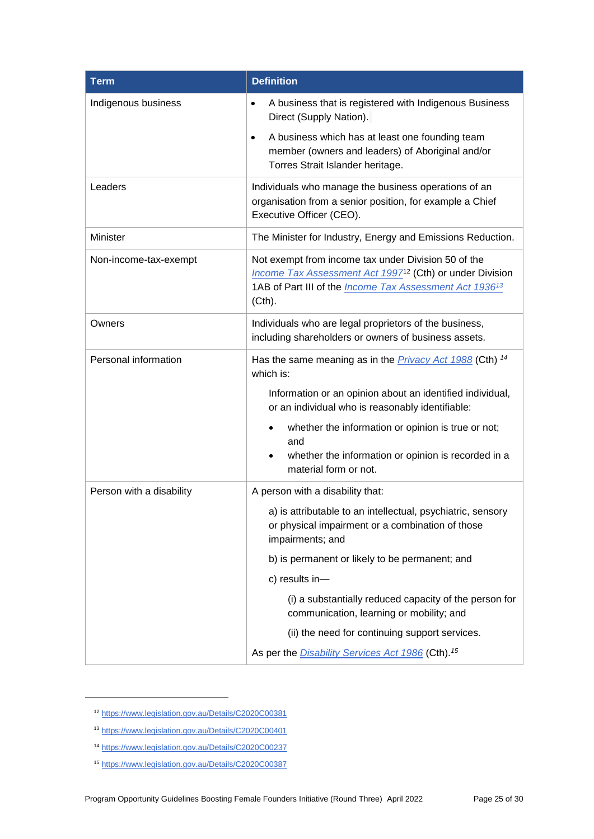| <b>Term</b>              | <b>Definition</b>                                                                                                                                                                                                  |
|--------------------------|--------------------------------------------------------------------------------------------------------------------------------------------------------------------------------------------------------------------|
| Indigenous business      | A business that is registered with Indigenous Business<br>$\bullet$<br>Direct (Supply Nation).                                                                                                                     |
|                          | A business which has at least one founding team<br>$\bullet$<br>member (owners and leaders) of Aboriginal and/or<br>Torres Strait Islander heritage.                                                               |
| Leaders                  | Individuals who manage the business operations of an<br>organisation from a senior position, for example a Chief<br>Executive Officer (CEO).                                                                       |
| Minister                 | The Minister for Industry, Energy and Emissions Reduction.                                                                                                                                                         |
| Non-income-tax-exempt    | Not exempt from income tax under Division 50 of the<br>Income Tax Assessment Act 1997 <sup>12</sup> (Cth) or under Division<br>1AB of Part III of the <i>Income Tax Assessment Act 1936<sup>13</sup></i><br>(Cth). |
| Owners                   | Individuals who are legal proprietors of the business,<br>including shareholders or owners of business assets.                                                                                                     |
| Personal information     | Has the same meaning as in the <i>Privacy Act 1988</i> (Cth) <sup>14</sup><br>which is:                                                                                                                            |
|                          | Information or an opinion about an identified individual,<br>or an individual who is reasonably identifiable:                                                                                                      |
|                          | whether the information or opinion is true or not;<br>and                                                                                                                                                          |
|                          | whether the information or opinion is recorded in a<br>material form or not.                                                                                                                                       |
| Person with a disability | A person with a disability that:                                                                                                                                                                                   |
|                          | a) is attributable to an intellectual, psychiatric, sensory<br>or physical impairment or a combination of those<br>impairments; and                                                                                |
|                          | b) is permanent or likely to be permanent; and                                                                                                                                                                     |
|                          | c) results in-                                                                                                                                                                                                     |
|                          | (i) a substantially reduced capacity of the person for<br>communication, learning or mobility; and                                                                                                                 |
|                          | (ii) the need for continuing support services.                                                                                                                                                                     |
|                          | As per the <i>Disability Services Act 1986</i> (Cth). <sup>15</sup>                                                                                                                                                |

<sup>12</sup> <https://www.legislation.gov.au/Details/C2020C00381>

1

<sup>13</sup> https://www.legislation.gov.au/Details/C2020C00401

<sup>14</sup> <https://www.legislation.gov.au/Details/C2020C00237>

<sup>15</sup> <https://www.legislation.gov.au/Details/C2020C00387>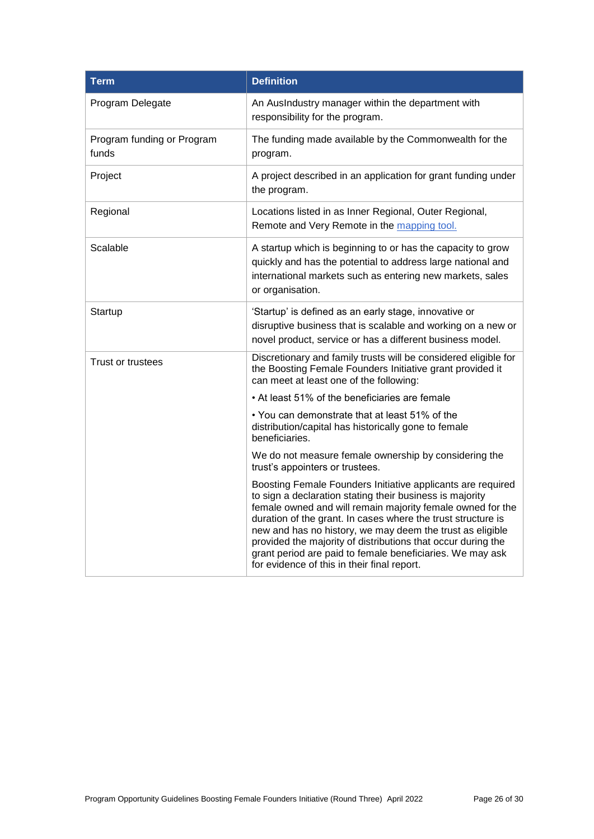<span id="page-25-0"></span>

| <b>Term</b>                         | <b>Definition</b>                                                                                                                                                                                                                                                                                                                                                                                                                                                                              |
|-------------------------------------|------------------------------------------------------------------------------------------------------------------------------------------------------------------------------------------------------------------------------------------------------------------------------------------------------------------------------------------------------------------------------------------------------------------------------------------------------------------------------------------------|
| Program Delegate                    | An AusIndustry manager within the department with<br>responsibility for the program.                                                                                                                                                                                                                                                                                                                                                                                                           |
| Program funding or Program<br>funds | The funding made available by the Commonwealth for the<br>program.                                                                                                                                                                                                                                                                                                                                                                                                                             |
| Project                             | A project described in an application for grant funding under<br>the program.                                                                                                                                                                                                                                                                                                                                                                                                                  |
| Regional                            | Locations listed in as Inner Regional, Outer Regional,<br>Remote and Very Remote in the mapping tool.                                                                                                                                                                                                                                                                                                                                                                                          |
| Scalable                            | A startup which is beginning to or has the capacity to grow<br>quickly and has the potential to address large national and<br>international markets such as entering new markets, sales<br>or organisation.                                                                                                                                                                                                                                                                                    |
| Startup                             | 'Startup' is defined as an early stage, innovative or<br>disruptive business that is scalable and working on a new or<br>novel product, service or has a different business model.                                                                                                                                                                                                                                                                                                             |
| <b>Trust or trustees</b>            | Discretionary and family trusts will be considered eligible for<br>the Boosting Female Founders Initiative grant provided it<br>can meet at least one of the following:                                                                                                                                                                                                                                                                                                                        |
|                                     | • At least 51% of the beneficiaries are female                                                                                                                                                                                                                                                                                                                                                                                                                                                 |
|                                     | $\bullet$ You can demonstrate that at least 51% of the<br>distribution/capital has historically gone to female<br>beneficiaries.                                                                                                                                                                                                                                                                                                                                                               |
|                                     | We do not measure female ownership by considering the<br>trust's appointers or trustees.                                                                                                                                                                                                                                                                                                                                                                                                       |
|                                     | Boosting Female Founders Initiative applicants are required<br>to sign a declaration stating their business is majority<br>female owned and will remain majority female owned for the<br>duration of the grant. In cases where the trust structure is<br>new and has no history, we may deem the trust as eligible<br>provided the majority of distributions that occur during the<br>grant period are paid to female beneficiaries. We may ask<br>for evidence of this in their final report. |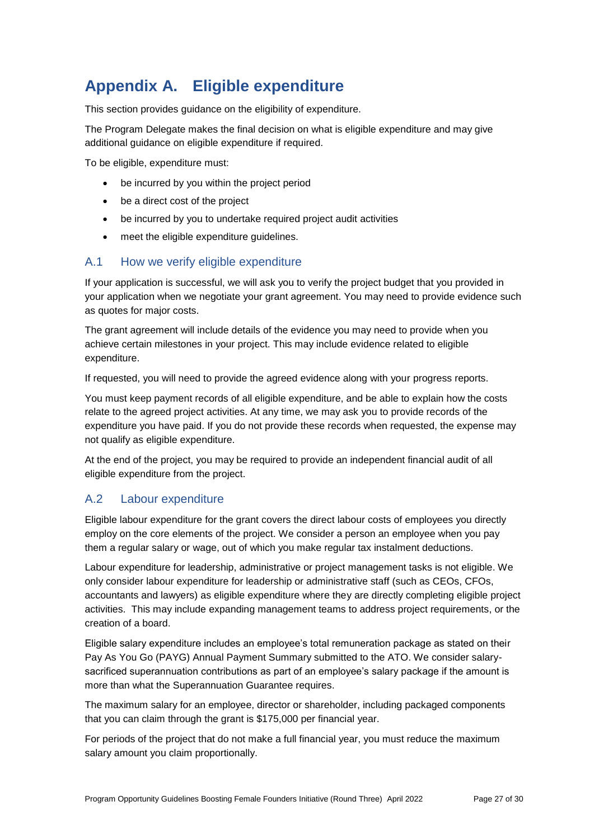# **Appendix A. Eligible expenditure**

This section provides guidance on the eligibility of expenditure.

The Program Delegate makes the final decision on what is eligible expenditure and may give additional guidance on eligible expenditure if required.

To be eligible, expenditure must:

- be incurred by you within the project period
- be a direct cost of the project
- be incurred by you to undertake required project audit activities
- meet the eligible expenditure guidelines.

### A.1 How we verify eligible expenditure

If your application is successful, we will ask you to verify the project budget that you provided in your application when we negotiate your grant agreement. You may need to provide evidence such as quotes for major costs.

The grant agreement will include details of the evidence you may need to provide when you achieve certain milestones in your project. This may include evidence related to eligible expenditure.

If requested, you will need to provide the agreed evidence along with your progress reports.

You must keep payment records of all eligible expenditure, and be able to explain how the costs relate to the agreed project activities. At any time, we may ask you to provide records of the expenditure you have paid. If you do not provide these records when requested, the expense may not qualify as eligible expenditure.

At the end of the project, you may be required to provide an independent financial audit of all eligible expenditure from the project.

# A.2 Labour expenditure

Eligible labour expenditure for the grant covers the direct labour costs of employees you directly employ on the core elements of the project. We consider a person an employee when you pay them a regular salary or wage, out of which you make regular tax instalment deductions.

Labour expenditure for leadership, administrative or project management tasks is not eligible. We only consider labour expenditure for leadership or administrative staff (such as CEOs, CFOs, accountants and lawyers) as eligible expenditure where they are directly completing eligible project activities. This may include expanding management teams to address project requirements, or the creation of a board.

Eligible salary expenditure includes an employee's total remuneration package as stated on their Pay As You Go (PAYG) Annual Payment Summary submitted to the ATO. We consider salarysacrificed superannuation contributions as part of an employee's salary package if the amount is more than what the Superannuation Guarantee requires.

The maximum salary for an employee, director or shareholder, including packaged components that you can claim through the grant is \$175,000 per financial year.

For periods of the project that do not make a full financial year, you must reduce the maximum salary amount you claim proportionally.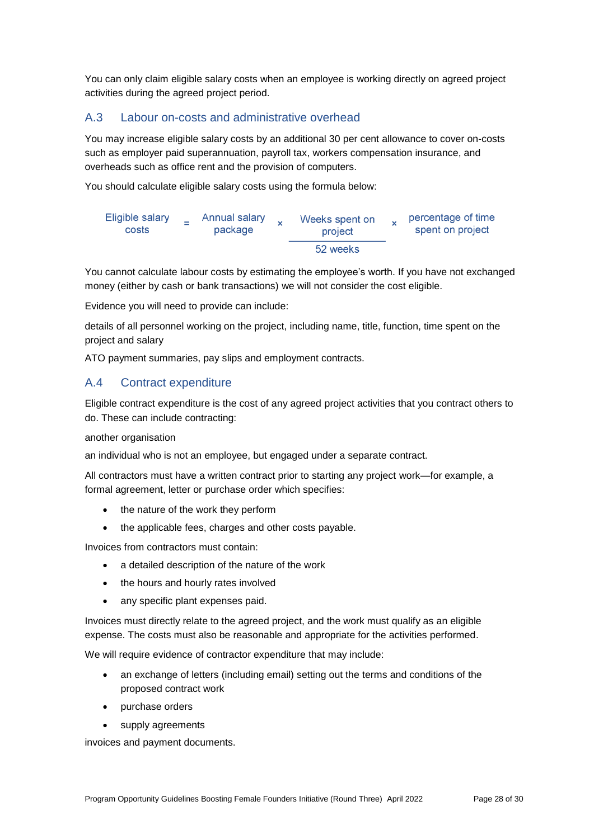You can only claim eligible salary costs when an employee is working directly on agreed project activities during the agreed project period.

# A.3 Labour on-costs and administrative overhead

You may increase eligible salary costs by an additional 30 per cent allowance to cover on-costs such as employer paid superannuation, payroll tax, workers compensation insurance, and overheads such as office rent and the provision of computers.

You should calculate eligible salary costs using the formula below:



You cannot calculate labour costs by estimating the employee's worth. If you have not exchanged money (either by cash or bank transactions) we will not consider the cost eligible.

Evidence you will need to provide can include:

details of all personnel working on the project, including name, title, function, time spent on the project and salary

ATO payment summaries, pay slips and employment contracts.

# A.4 Contract expenditure

Eligible contract expenditure is the cost of any agreed project activities that you contract others to do. These can include contracting:

another organisation

an individual who is not an employee, but engaged under a separate contract.

All contractors must have a written contract prior to starting any project work—for example, a formal agreement, letter or purchase order which specifies:

- the nature of the work they perform
- the applicable fees, charges and other costs payable.

Invoices from contractors must contain:

- a detailed description of the nature of the work
- the hours and hourly rates involved
- any specific plant expenses paid.

Invoices must directly relate to the agreed project, and the work must qualify as an eligible expense. The costs must also be reasonable and appropriate for the activities performed.

We will require evidence of contractor expenditure that may include:

- an exchange of letters (including email) setting out the terms and conditions of the proposed contract work
- purchase orders
- supply agreements

invoices and payment documents.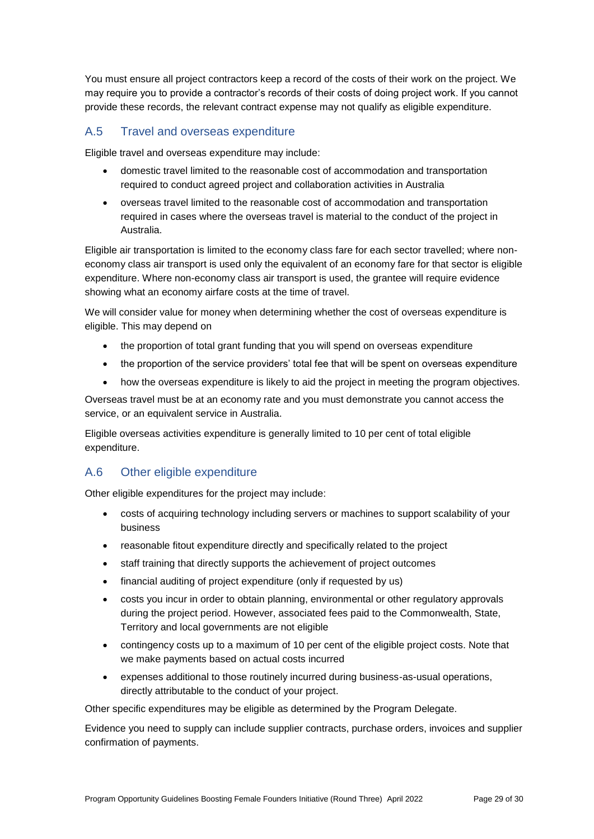You must ensure all project contractors keep a record of the costs of their work on the project. We may require you to provide a contractor's records of their costs of doing project work. If you cannot provide these records, the relevant contract expense may not qualify as eligible expenditure.

# A.5 Travel and overseas expenditure

Eligible travel and overseas expenditure may include:

- domestic travel limited to the reasonable cost of accommodation and transportation required to conduct agreed project and collaboration activities in Australia
- overseas travel limited to the reasonable cost of accommodation and transportation required in cases where the overseas travel is material to the conduct of the project in Australia.

Eligible air transportation is limited to the economy class fare for each sector travelled; where noneconomy class air transport is used only the equivalent of an economy fare for that sector is eligible expenditure. Where non-economy class air transport is used, the grantee will require evidence showing what an economy airfare costs at the time of travel.

We will consider value for money when determining whether the cost of overseas expenditure is eligible. This may depend on

- the proportion of total grant funding that you will spend on overseas expenditure
- the proportion of the service providers' total fee that will be spent on overseas expenditure
- how the overseas expenditure is likely to aid the project in meeting the program objectives.

Overseas travel must be at an economy rate and you must demonstrate you cannot access the service, or an equivalent service in Australia.

Eligible overseas activities expenditure is generally limited to 10 per cent of total eligible expenditure.

# A.6 Other eligible expenditure

Other eligible expenditures for the project may include:

- costs of acquiring technology including servers or machines to support scalability of your business
- reasonable fitout expenditure directly and specifically related to the project
- staff training that directly supports the achievement of project outcomes
- financial auditing of project expenditure (only if requested by us)
- costs you incur in order to obtain planning, environmental or other regulatory approvals during the project period. However, associated fees paid to the Commonwealth, State, Territory and local governments are not eligible
- contingency costs up to a maximum of 10 per cent of the eligible project costs. Note that we make payments based on actual costs incurred
- expenses additional to those routinely incurred during business-as-usual operations, directly attributable to the conduct of your project.

Other specific expenditures may be eligible as determined by the Program Delegate.

Evidence you need to supply can include supplier contracts, purchase orders, invoices and supplier confirmation of payments.